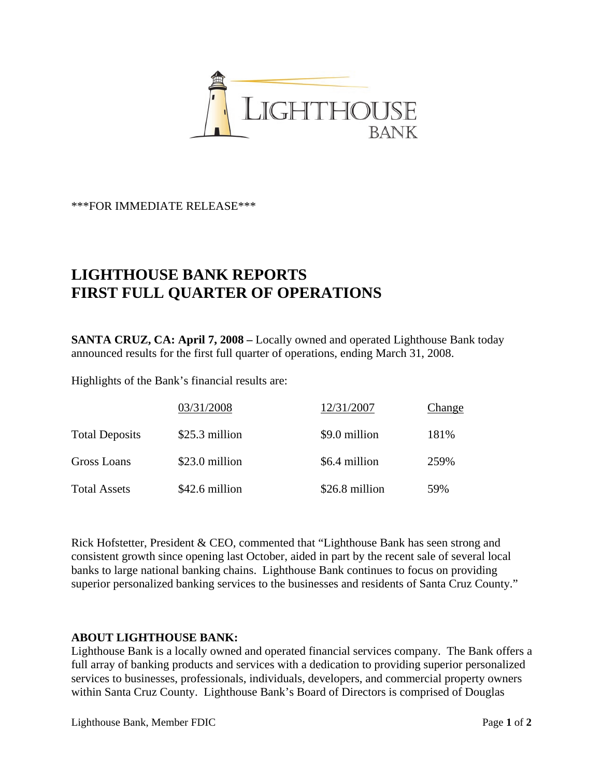

\*\*\*FOR IMMEDIATE RELEASE\*\*\*

## **LIGHTHOUSE BANK REPORTS FIRST FULL QUARTER OF OPERATIONS**

**SANTA CRUZ, CA: April 7, 2008 –** Locally owned and operated Lighthouse Bank today announced results for the first full quarter of operations, ending March 31, 2008.

Highlights of the Bank's financial results are:

|                       | 03/31/2008     | 12/31/2007     | Change |
|-----------------------|----------------|----------------|--------|
| <b>Total Deposits</b> | \$25.3 million | \$9.0 million  | 181%   |
| Gross Loans           | \$23.0 million | \$6.4 million  | 259%   |
| <b>Total Assets</b>   | \$42.6 million | \$26.8 million | 59%    |

Rick Hofstetter, President & CEO, commented that "Lighthouse Bank has seen strong and consistent growth since opening last October, aided in part by the recent sale of several local banks to large national banking chains. Lighthouse Bank continues to focus on providing superior personalized banking services to the businesses and residents of Santa Cruz County."

## **ABOUT LIGHTHOUSE BANK:**

Lighthouse Bank is a locally owned and operated financial services company. The Bank offers a full array of banking products and services with a dedication to providing superior personalized services to businesses, professionals, individuals, developers, and commercial property owners within Santa Cruz County. Lighthouse Bank's Board of Directors is comprised of Douglas